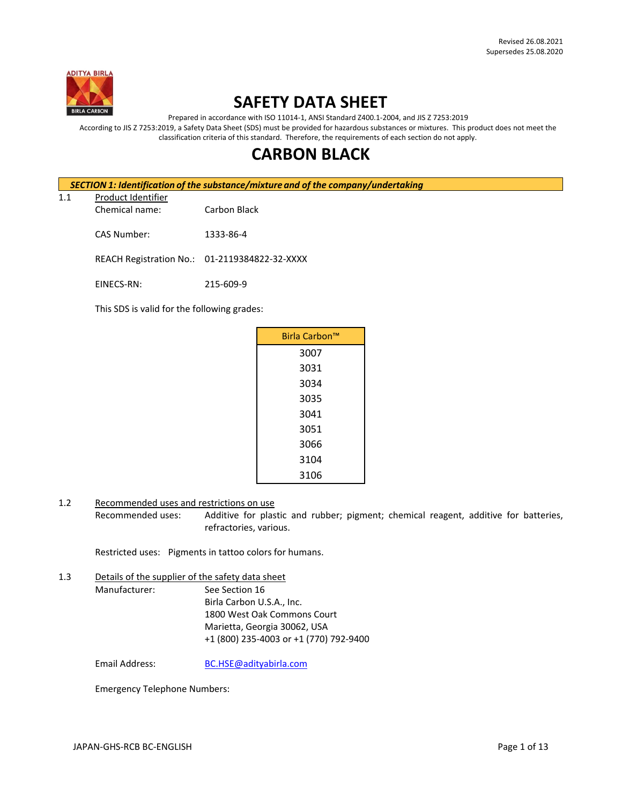

# **SAFETY DATA SHEET**

Prepared in accordance with ISO 11014-1, ANSI Standard Z400.1-2004, and JIS Z 7253:2019

According to JIS Z 7253:2019, a Safety Data Sheet (SDS) must be provided for hazardous substances or mixtures. This product does not meet the classification criteria of this standard. Therefore, the requirements of each section do not apply.

# **CARBON BLACK**

|                           |  | <b>SECTION 1: Identification of the substance/mixture and of the company/undertaking</b> |                                               |  |
|---------------------------|--|------------------------------------------------------------------------------------------|-----------------------------------------------|--|
| Product Identifier<br>1.1 |  |                                                                                          |                                               |  |
|                           |  | Chemical name:                                                                           | Carbon Black                                  |  |
|                           |  | CAS Number:                                                                              | 1333-86-4                                     |  |
|                           |  |                                                                                          | REACH Registration No.: 01-2119384822-32-XXXX |  |

EINECS-RN: 215-609-9

This SDS is valid for the following grades:

| Birla Carbon™ |
|---------------|
|               |
| 3007          |
| 3031          |
| 3034          |
| 3035          |
| 3041          |
| 3051          |
| 3066          |
| 3104          |
| 3106          |

1.2 Recommended uses and restrictions on use

Recommended uses: Additive for plastic and rubber; pigment; chemical reagent, additive for batteries, refractories, various.

Restricted uses: Pigments in tattoo colors for humans.

1.3 Details of the supplier of the safety data sheet

Manufacturer: See Section 16 Birla Carbon U.S.A., Inc. 1800 West Oak Commons Court Marietta, Georgia 30062, USA +1 (800) 235-4003 or +1 (770) 792-9400

Email Address: [BC.HSE@adityabirla.com](mailto:BC.HSE@adityabirla.com)

Emergency Telephone Numbers: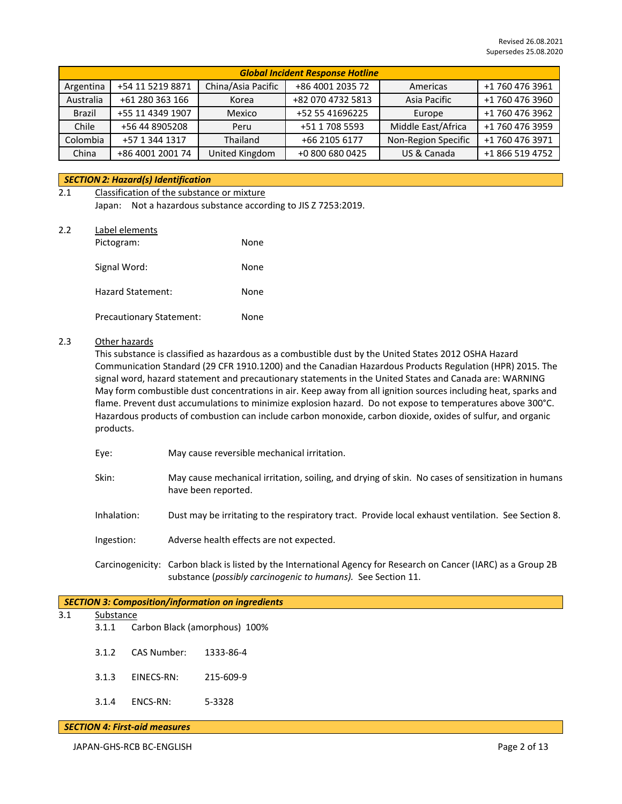| <b>Global Incident Response Hotline</b> |                            |                    |                  |                     |                 |
|-----------------------------------------|----------------------------|--------------------|------------------|---------------------|-----------------|
| +54 11 5219 8871<br>Argentina           |                            | China/Asia Pacific | +86 4001 2035 72 | Americas            | +1 760 476 3961 |
| Australia                               | +61 280 363 166            | Korea              |                  | Asia Pacific        | +1 760 476 3960 |
| Brazil                                  | +55 11 4349 1907<br>Mexico |                    | +52 55 41696225  | Europe              | +1 760 476 3962 |
| Chile                                   | +56 44 8905208<br>Peru     |                    | +51 1 708 5593   | Middle East/Africa  | +1 760 476 3959 |
| Colombia                                | +57 1 344 1317             | Thailand           | +66 2105 6177    | Non-Region Specific | +1 760 476 3971 |
| China<br>+86 4001 2001 74               |                            | United Kingdom     | +0 800 680 0425  | US & Canada         | +1 866 519 4752 |

# *SECTION 2: Hazard(s) Identification*

# 2.1 Classification of the substance or mixture Japan: Not a hazardous substance according to JIS Z 7253:2019.

2.2 Label elements

| Pictogram:                      | None |
|---------------------------------|------|
| Signal Word:                    | None |
| <b>Hazard Statement:</b>        | None |
| <b>Precautionary Statement:</b> | None |

# 2.3 Other hazards

This substance is classified as hazardous as a combustible dust by the United States 2012 OSHA Hazard Communication Standard (29 CFR 1910.1200) and the Canadian Hazardous Products Regulation (HPR) 2015. The signal word, hazard statement and precautionary statements in the United States and Canada are: WARNING May form combustible dust concentrations in air. Keep away from all ignition sources including heat, sparks and flame. Prevent dust accumulations to minimize explosion hazard. Do not expose to temperatures above 300°C. Hazardous products of combustion can include carbon monoxide, carbon dioxide, oxides of sulfur, and organic products.

- Eye: May cause reversible mechanical irritation.
- Skin: May cause mechanical irritation, soiling, and drying of skin. No cases of sensitization in humans have been reported.
- Inhalation: Dust may be irritating to the respiratory tract. Provide local exhaust ventilation. See Section 8.
- Ingestion: Adverse health effects are not expected.
- Carcinogenicity: Carbon black is listed by the International Agency for Research on Cancer (IARC) as a Group 2B substance (*possibly carcinogenic to humans).* See Section 11.

# *SECTION 3: Composition/information on ingredients* 3.1 Substance 3.1.1 Carbon Black (amorphous) 100% 3.1.2 CAS Number: 1333-86-4 3.1.3 EINECS-RN: 215-609-9 3.1.4 ENCS-RN: 5-3328

#### *SECTION 4: First-aid measures*

JAPAN-GHS-RCB BC-ENGLISH Page 2 of 13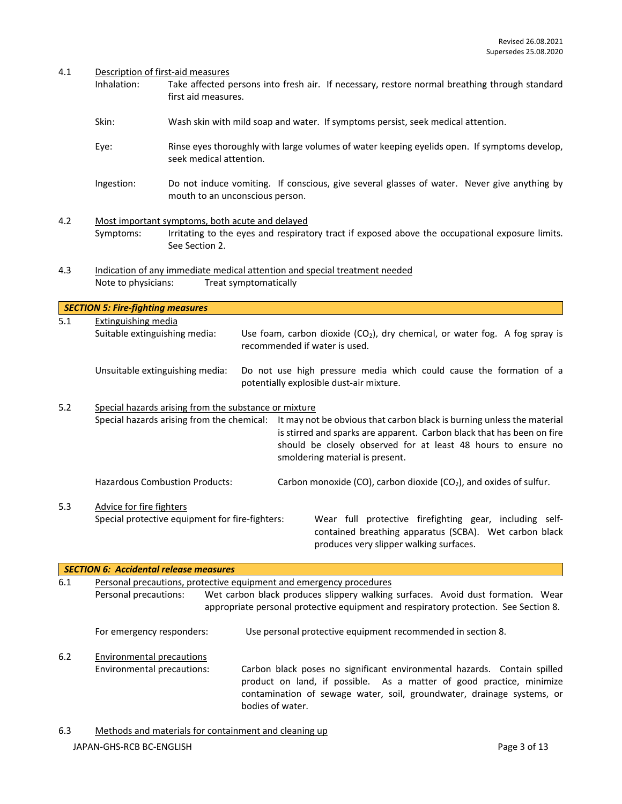#### 4.1 Description of first-aid measures

*SECTION 5: Fire-fighting measures*

- Inhalation: Take affected persons into fresh air. If necessary, restore normal breathing through standard first aid measures.
- Skin: Wash skin with mild soap and water. If symptoms persist, seek medical attention.
- Eye: Rinse eyes thoroughly with large volumes of water keeping eyelids open. If symptoms develop, seek medical attention.
- Ingestion: Do not induce vomiting. If conscious, give several glasses of water. Never give anything by mouth to an unconscious person.
- 4.2 Most important symptoms, both acute and delayed Symptoms: Irritating to the eyes and respiratory tract if exposed above the occupational exposure limits. See Section 2.
- 4.3 Indication of any immediate medical attention and special treatment needed Note to physicians: Treat symptomatically

5.1 Extinguishing media Suitable extinguishing media: Use foam, carbon dioxide  $(CO<sub>2</sub>)$ , dry chemical, or water fog. A fog spray is recommended if water is used. Unsuitable extinguishing media: Do not use high pressure media which could cause the formation of a potentially explosible dust-air mixture. 5.2 Special hazards arising from the substance or mixture

Special hazards arising from the chemical: It may not be obvious that carbon black is burning unless the material is stirred and sparks are apparent. Carbon black that has been on fire should be closely observed for at least 48 hours to ensure no smoldering material is present.

Hazardous Combustion Products: Carbon monoxide (CO), carbon dioxide (CO<sub>2</sub>), and oxides of sulfur.

5.3 Advice for fire fighters

Special protective equipment for fire-fighters: Wear full protective firefighting gear, including selfcontained breathing apparatus (SCBA). Wet carbon black produces very slipper walking surfaces.

|     | <b>SECTION 6: Accidental release measures</b>                       |                                                                                                                                                                                                                                                |  |
|-----|---------------------------------------------------------------------|------------------------------------------------------------------------------------------------------------------------------------------------------------------------------------------------------------------------------------------------|--|
| 6.1 | Personal precautions, protective equipment and emergency procedures |                                                                                                                                                                                                                                                |  |
|     | Personal precautions:                                               | Wet carbon black produces slippery walking surfaces. Avoid dust formation. Wear<br>appropriate personal protective equipment and respiratory protection. See Section 8.                                                                        |  |
|     | For emergency responders:                                           | Use personal protective equipment recommended in section 8.                                                                                                                                                                                    |  |
| 6.2 | <b>Environmental precautions</b>                                    |                                                                                                                                                                                                                                                |  |
|     | Environmental precautions:                                          | Carbon black poses no significant environmental hazards. Contain spilled<br>product on land, if possible. As a matter of good practice, minimize<br>contamination of sewage water, soil, groundwater, drainage systems, or<br>bodies of water. |  |

JAPAN-GHS-RCB BC-ENGLISH Page 3 of 13 6.3 Methods and materials for containment and cleaning up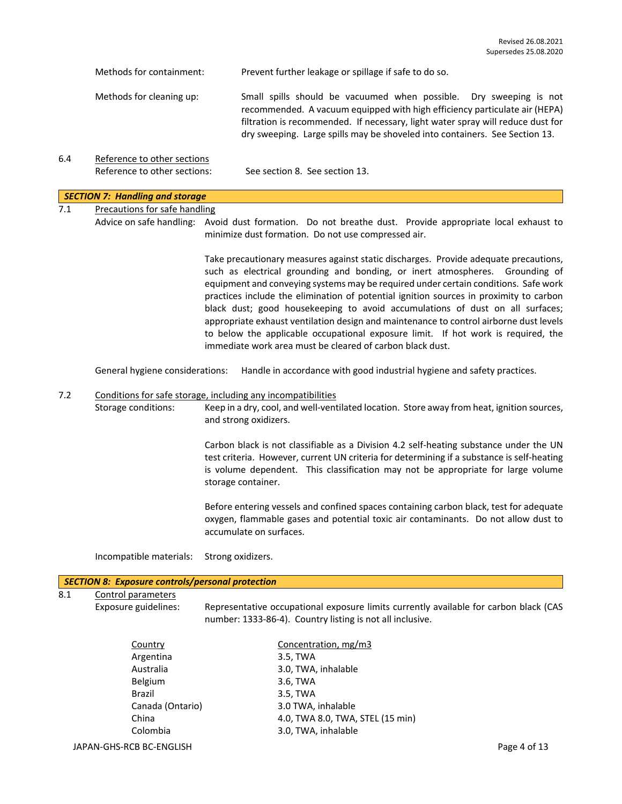|     | Methods for containment:                                | Prevent further leakage or spillage if safe to do so.                                                                                                                                                                                                                                                                                                                                                                                                                                                                                                                                                                                                                              |
|-----|---------------------------------------------------------|------------------------------------------------------------------------------------------------------------------------------------------------------------------------------------------------------------------------------------------------------------------------------------------------------------------------------------------------------------------------------------------------------------------------------------------------------------------------------------------------------------------------------------------------------------------------------------------------------------------------------------------------------------------------------------|
|     | Methods for cleaning up:                                | Small spills should be vacuumed when possible. Dry sweeping is not<br>recommended. A vacuum equipped with high efficiency particulate air (HEPA)<br>filtration is recommended. If necessary, light water spray will reduce dust for<br>dry sweeping. Large spills may be shoveled into containers. See Section 13.                                                                                                                                                                                                                                                                                                                                                                 |
| 6.4 | Reference to other sections                             |                                                                                                                                                                                                                                                                                                                                                                                                                                                                                                                                                                                                                                                                                    |
|     | Reference to other sections:                            | See section 8. See section 13.                                                                                                                                                                                                                                                                                                                                                                                                                                                                                                                                                                                                                                                     |
|     | <b>SECTION 7: Handling and storage</b>                  |                                                                                                                                                                                                                                                                                                                                                                                                                                                                                                                                                                                                                                                                                    |
| 7.1 | Precautions for safe handling                           |                                                                                                                                                                                                                                                                                                                                                                                                                                                                                                                                                                                                                                                                                    |
|     |                                                         | Advice on safe handling: Avoid dust formation. Do not breathe dust. Provide appropriate local exhaust to<br>minimize dust formation. Do not use compressed air.                                                                                                                                                                                                                                                                                                                                                                                                                                                                                                                    |
|     |                                                         | Take precautionary measures against static discharges. Provide adequate precautions,<br>such as electrical grounding and bonding, or inert atmospheres. Grounding of<br>equipment and conveying systems may be required under certain conditions. Safe work<br>practices include the elimination of potential ignition sources in proximity to carbon<br>black dust; good housekeeping to avoid accumulations of dust on all surfaces;<br>appropriate exhaust ventilation design and maintenance to control airborne dust levels<br>to below the applicable occupational exposure limit. If hot work is required, the<br>immediate work area must be cleared of carbon black dust. |
|     | General hygiene considerations:                         | Handle in accordance with good industrial hygiene and safety practices.                                                                                                                                                                                                                                                                                                                                                                                                                                                                                                                                                                                                            |
| 7.2 |                                                         | Conditions for safe storage, including any incompatibilities                                                                                                                                                                                                                                                                                                                                                                                                                                                                                                                                                                                                                       |
|     | Storage conditions:                                     | Keep in a dry, cool, and well-ventilated location. Store away from heat, ignition sources,<br>and strong oxidizers.                                                                                                                                                                                                                                                                                                                                                                                                                                                                                                                                                                |
|     |                                                         | Carbon black is not classifiable as a Division 4.2 self-heating substance under the UN<br>test criteria. However, current UN criteria for determining if a substance is self-heating<br>is volume dependent. This classification may not be appropriate for large volume<br>storage container.                                                                                                                                                                                                                                                                                                                                                                                     |
|     |                                                         | Before entering vessels and confined spaces containing carbon black, test for adequate<br>oxygen, flammable gases and potential toxic air contaminants. Do not allow dust to<br>accumulate on surfaces.                                                                                                                                                                                                                                                                                                                                                                                                                                                                            |
|     | Incompatible materials:                                 | Strong oxidizers.                                                                                                                                                                                                                                                                                                                                                                                                                                                                                                                                                                                                                                                                  |
|     | <b>SECTION 8: Exposure controls/personal protection</b> |                                                                                                                                                                                                                                                                                                                                                                                                                                                                                                                                                                                                                                                                                    |
| 8.1 | Control parameters                                      |                                                                                                                                                                                                                                                                                                                                                                                                                                                                                                                                                                                                                                                                                    |
|     | Exposure guidelines:                                    | Representative occupational exposure limits currently available for carbon black (CAS<br>number: 1333-86-4). Country listing is not all inclusive.                                                                                                                                                                                                                                                                                                                                                                                                                                                                                                                                 |
|     | $C_{\text{Alm}+n}$                                      | Concentration                                                                                                                                                                                                                                                                                                                                                                                                                                                                                                                                                                                                                                                                      |

| Concentration, mg/m3             |              |
|----------------------------------|--------------|
| 3.5, TWA                         |              |
| 3.0, TWA, inhalable              |              |
| 3.6, TWA                         |              |
| 3.5, TWA                         |              |
| 3.0 TWA, inhalable               |              |
| 4.0, TWA 8.0, TWA, STEL (15 min) |              |
| 3.0, TWA, inhalable              |              |
|                                  | Page 4 of 13 |
|                                  |              |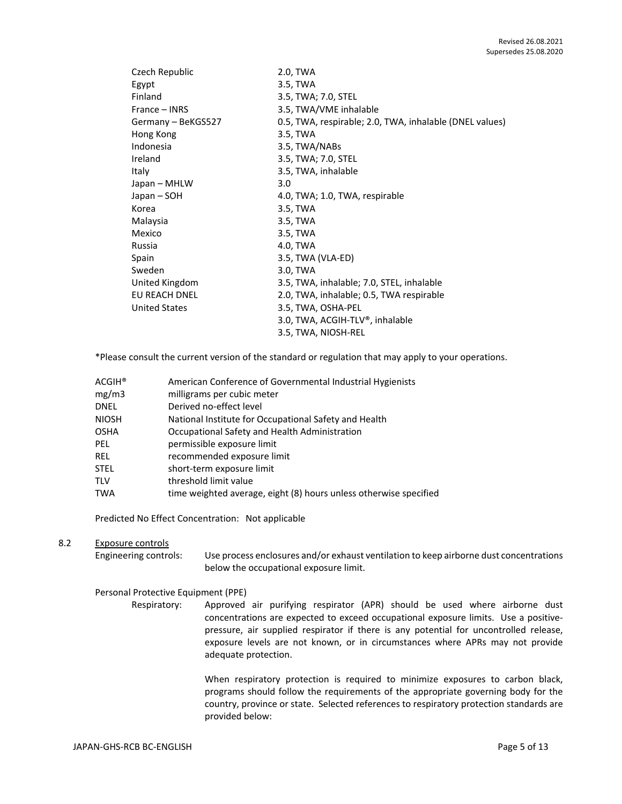| Czech Republic       | 2.0, TWA                                                |
|----------------------|---------------------------------------------------------|
| Egypt                | 3.5, TWA                                                |
| Finland              | 3.5, TWA; 7.0, STEL                                     |
| France – INRS        | 3.5, TWA/VME inhalable                                  |
| Germany - BeKGS527   | 0.5, TWA, respirable; 2.0, TWA, inhalable (DNEL values) |
| Hong Kong            | 3.5, TWA                                                |
| Indonesia            | 3.5, TWA/NABs                                           |
| Ireland              | 3.5, TWA; 7.0, STEL                                     |
| Italy                | 3.5, TWA, inhalable                                     |
| Japan – MHLW         | 3.0                                                     |
| Japan – SOH          | 4.0, TWA; 1.0, TWA, respirable                          |
| Korea                | 3.5, TWA                                                |
| Malaysia             | 3.5, TWA                                                |
| Mexico               | 3.5, TWA                                                |
| Russia               | 4.0, TWA                                                |
| Spain                | 3.5, TWA (VLA-ED)                                       |
| Sweden               | 3.0, TWA                                                |
| United Kingdom       | 3.5, TWA, inhalable; 7.0, STEL, inhalable               |
| EU REACH DNEL        | 2.0, TWA, inhalable; 0.5, TWA respirable                |
| <b>United States</b> | 3.5, TWA, OSHA-PEL                                      |
|                      | 3.0, TWA, ACGIH-TLV®, inhalable                         |
|                      | 3.5, TWA, NIOSH-REL                                     |

\*Please consult the current version of the standard or regulation that may apply to your operations.

| American Conference of Governmental Industrial Hygienists         |
|-------------------------------------------------------------------|
| milligrams per cubic meter                                        |
| Derived no-effect level                                           |
| National Institute for Occupational Safety and Health             |
| Occupational Safety and Health Administration                     |
| permissible exposure limit                                        |
| recommended exposure limit                                        |
| short-term exposure limit                                         |
| threshold limit value                                             |
| time weighted average, eight (8) hours unless otherwise specified |
|                                                                   |

Predicted No Effect Concentration: Not applicable

### 8.2 Exposure controls

Engineering controls: Use process enclosures and/or exhaust ventilation to keep airborne dust concentrations below the occupational exposure limit.

# Personal Protective Equipment (PPE)

Respiratory: Approved air purifying respirator (APR) should be used where airborne dust concentrations are expected to exceed occupational exposure limits. Use a positivepressure, air supplied respirator if there is any potential for uncontrolled release, exposure levels are not known, or in circumstances where APRs may not provide adequate protection.

> When respiratory protection is required to minimize exposures to carbon black, programs should follow the requirements of the appropriate governing body for the country, province or state. Selected references to respiratory protection standards are provided below: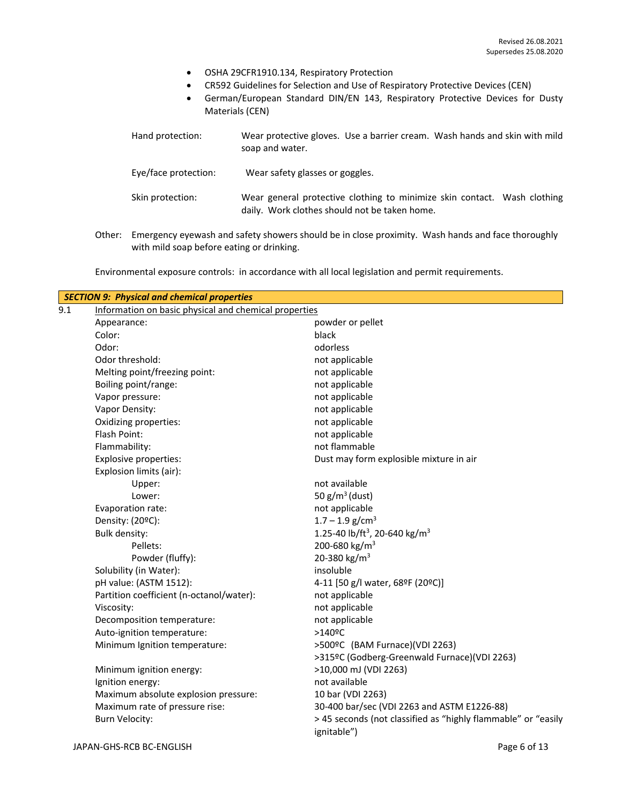- OSHA 29CFR1910.134, Respiratory Protection
- CR592 Guidelines for Selection and Use of Respiratory Protective Devices (CEN)
- German/European Standard DIN/EN 143, Respiratory Protective Devices for Dusty Materials (CEN)

| Hand protection:     | Wear protective gloves. Use a barrier cream. Wash hands and skin with mild<br>soap and water.                             |
|----------------------|---------------------------------------------------------------------------------------------------------------------------|
| Eye/face protection: | Wear safety glasses or goggles.                                                                                           |
| Skin protection:     | Wear general protective clothing to minimize skin contact. Wash clothing<br>daily. Work clothes should not be taken home. |
|                      |                                                                                                                           |

Other: Emergency eyewash and safety showers should be in close proximity. Wash hands and face thoroughly with mild soap before eating or drinking.

Environmental exposure controls: in accordance with all local legislation and permit requirements.

| Information on basic physical and chemical properties<br>powder or pellet<br>Appearance:<br>Color:<br>black<br>Odor:<br>odorless<br>Odor threshold:<br>not applicable<br>Melting point/freezing point:<br>not applicable<br>Boiling point/range:<br>not applicable<br>not applicable<br>Vapor pressure:<br>Vapor Density:<br>not applicable<br>Oxidizing properties:<br>not applicable<br>Flash Point:<br>not applicable<br>not flammable<br>Flammability:<br>Dust may form explosible mixture in air<br><b>Explosive properties:</b><br>Explosion limits (air):<br>not available<br>Upper:<br>50 $g/m^3$ (dust)<br>Lower:<br>not applicable<br>Evaporation rate:<br>$1.7 - 1.9$ g/cm <sup>3</sup><br>Density: (20ºC):<br>1.25-40 lb/ft <sup>3</sup> , 20-640 kg/m <sup>3</sup><br><b>Bulk density:</b><br>200-680 kg/m <sup>3</sup><br>Pellets:<br>20-380 kg/m <sup>3</sup><br>Powder (fluffy):<br>Solubility (in Water):<br>insoluble<br>pH value: (ASTM 1512):<br>4-11 [50 g/l water, 68ºF (20ºC)]<br>Partition coefficient (n-octanol/water):<br>not applicable<br>not applicable<br>Viscosity:<br>not applicable<br>Decomposition temperature:<br>Auto-ignition temperature:<br>$>140$ <sup>o</sup> C<br>Minimum Ignition temperature:<br>>500ºC (BAM Furnace)(VDI 2263)<br>>315ºC (Godberg-Greenwald Furnace)(VDI 2263)<br>>10,000 mJ (VDI 2263)<br>Minimum ignition energy:<br>not available<br>Ignition energy:<br>Maximum absolute explosion pressure:<br>10 bar (VDI 2263)<br>Maximum rate of pressure rise:<br>30-400 bar/sec (VDI 2263 and ASTM E1226-88)<br><b>Burn Velocity:</b><br>ignitable") |     | <b>SECTION 9: Physical and chemical properties</b> |                                                               |
|---------------------------------------------------------------------------------------------------------------------------------------------------------------------------------------------------------------------------------------------------------------------------------------------------------------------------------------------------------------------------------------------------------------------------------------------------------------------------------------------------------------------------------------------------------------------------------------------------------------------------------------------------------------------------------------------------------------------------------------------------------------------------------------------------------------------------------------------------------------------------------------------------------------------------------------------------------------------------------------------------------------------------------------------------------------------------------------------------------------------------------------------------------------------------------------------------------------------------------------------------------------------------------------------------------------------------------------------------------------------------------------------------------------------------------------------------------------------------------------------------------------------------------------------------------------------------------------------------------------|-----|----------------------------------------------------|---------------------------------------------------------------|
|                                                                                                                                                                                                                                                                                                                                                                                                                                                                                                                                                                                                                                                                                                                                                                                                                                                                                                                                                                                                                                                                                                                                                                                                                                                                                                                                                                                                                                                                                                                                                                                                               | 9.1 |                                                    |                                                               |
|                                                                                                                                                                                                                                                                                                                                                                                                                                                                                                                                                                                                                                                                                                                                                                                                                                                                                                                                                                                                                                                                                                                                                                                                                                                                                                                                                                                                                                                                                                                                                                                                               |     |                                                    |                                                               |
|                                                                                                                                                                                                                                                                                                                                                                                                                                                                                                                                                                                                                                                                                                                                                                                                                                                                                                                                                                                                                                                                                                                                                                                                                                                                                                                                                                                                                                                                                                                                                                                                               |     |                                                    |                                                               |
|                                                                                                                                                                                                                                                                                                                                                                                                                                                                                                                                                                                                                                                                                                                                                                                                                                                                                                                                                                                                                                                                                                                                                                                                                                                                                                                                                                                                                                                                                                                                                                                                               |     |                                                    |                                                               |
|                                                                                                                                                                                                                                                                                                                                                                                                                                                                                                                                                                                                                                                                                                                                                                                                                                                                                                                                                                                                                                                                                                                                                                                                                                                                                                                                                                                                                                                                                                                                                                                                               |     |                                                    |                                                               |
|                                                                                                                                                                                                                                                                                                                                                                                                                                                                                                                                                                                                                                                                                                                                                                                                                                                                                                                                                                                                                                                                                                                                                                                                                                                                                                                                                                                                                                                                                                                                                                                                               |     |                                                    |                                                               |
|                                                                                                                                                                                                                                                                                                                                                                                                                                                                                                                                                                                                                                                                                                                                                                                                                                                                                                                                                                                                                                                                                                                                                                                                                                                                                                                                                                                                                                                                                                                                                                                                               |     |                                                    |                                                               |
|                                                                                                                                                                                                                                                                                                                                                                                                                                                                                                                                                                                                                                                                                                                                                                                                                                                                                                                                                                                                                                                                                                                                                                                                                                                                                                                                                                                                                                                                                                                                                                                                               |     |                                                    |                                                               |
|                                                                                                                                                                                                                                                                                                                                                                                                                                                                                                                                                                                                                                                                                                                                                                                                                                                                                                                                                                                                                                                                                                                                                                                                                                                                                                                                                                                                                                                                                                                                                                                                               |     |                                                    |                                                               |
|                                                                                                                                                                                                                                                                                                                                                                                                                                                                                                                                                                                                                                                                                                                                                                                                                                                                                                                                                                                                                                                                                                                                                                                                                                                                                                                                                                                                                                                                                                                                                                                                               |     |                                                    |                                                               |
|                                                                                                                                                                                                                                                                                                                                                                                                                                                                                                                                                                                                                                                                                                                                                                                                                                                                                                                                                                                                                                                                                                                                                                                                                                                                                                                                                                                                                                                                                                                                                                                                               |     |                                                    |                                                               |
|                                                                                                                                                                                                                                                                                                                                                                                                                                                                                                                                                                                                                                                                                                                                                                                                                                                                                                                                                                                                                                                                                                                                                                                                                                                                                                                                                                                                                                                                                                                                                                                                               |     |                                                    |                                                               |
|                                                                                                                                                                                                                                                                                                                                                                                                                                                                                                                                                                                                                                                                                                                                                                                                                                                                                                                                                                                                                                                                                                                                                                                                                                                                                                                                                                                                                                                                                                                                                                                                               |     |                                                    |                                                               |
|                                                                                                                                                                                                                                                                                                                                                                                                                                                                                                                                                                                                                                                                                                                                                                                                                                                                                                                                                                                                                                                                                                                                                                                                                                                                                                                                                                                                                                                                                                                                                                                                               |     |                                                    |                                                               |
|                                                                                                                                                                                                                                                                                                                                                                                                                                                                                                                                                                                                                                                                                                                                                                                                                                                                                                                                                                                                                                                                                                                                                                                                                                                                                                                                                                                                                                                                                                                                                                                                               |     |                                                    |                                                               |
|                                                                                                                                                                                                                                                                                                                                                                                                                                                                                                                                                                                                                                                                                                                                                                                                                                                                                                                                                                                                                                                                                                                                                                                                                                                                                                                                                                                                                                                                                                                                                                                                               |     |                                                    |                                                               |
|                                                                                                                                                                                                                                                                                                                                                                                                                                                                                                                                                                                                                                                                                                                                                                                                                                                                                                                                                                                                                                                                                                                                                                                                                                                                                                                                                                                                                                                                                                                                                                                                               |     |                                                    |                                                               |
|                                                                                                                                                                                                                                                                                                                                                                                                                                                                                                                                                                                                                                                                                                                                                                                                                                                                                                                                                                                                                                                                                                                                                                                                                                                                                                                                                                                                                                                                                                                                                                                                               |     |                                                    |                                                               |
|                                                                                                                                                                                                                                                                                                                                                                                                                                                                                                                                                                                                                                                                                                                                                                                                                                                                                                                                                                                                                                                                                                                                                                                                                                                                                                                                                                                                                                                                                                                                                                                                               |     |                                                    |                                                               |
|                                                                                                                                                                                                                                                                                                                                                                                                                                                                                                                                                                                                                                                                                                                                                                                                                                                                                                                                                                                                                                                                                                                                                                                                                                                                                                                                                                                                                                                                                                                                                                                                               |     |                                                    |                                                               |
|                                                                                                                                                                                                                                                                                                                                                                                                                                                                                                                                                                                                                                                                                                                                                                                                                                                                                                                                                                                                                                                                                                                                                                                                                                                                                                                                                                                                                                                                                                                                                                                                               |     |                                                    |                                                               |
|                                                                                                                                                                                                                                                                                                                                                                                                                                                                                                                                                                                                                                                                                                                                                                                                                                                                                                                                                                                                                                                                                                                                                                                                                                                                                                                                                                                                                                                                                                                                                                                                               |     |                                                    |                                                               |
|                                                                                                                                                                                                                                                                                                                                                                                                                                                                                                                                                                                                                                                                                                                                                                                                                                                                                                                                                                                                                                                                                                                                                                                                                                                                                                                                                                                                                                                                                                                                                                                                               |     |                                                    |                                                               |
|                                                                                                                                                                                                                                                                                                                                                                                                                                                                                                                                                                                                                                                                                                                                                                                                                                                                                                                                                                                                                                                                                                                                                                                                                                                                                                                                                                                                                                                                                                                                                                                                               |     |                                                    |                                                               |
|                                                                                                                                                                                                                                                                                                                                                                                                                                                                                                                                                                                                                                                                                                                                                                                                                                                                                                                                                                                                                                                                                                                                                                                                                                                                                                                                                                                                                                                                                                                                                                                                               |     |                                                    |                                                               |
|                                                                                                                                                                                                                                                                                                                                                                                                                                                                                                                                                                                                                                                                                                                                                                                                                                                                                                                                                                                                                                                                                                                                                                                                                                                                                                                                                                                                                                                                                                                                                                                                               |     |                                                    |                                                               |
|                                                                                                                                                                                                                                                                                                                                                                                                                                                                                                                                                                                                                                                                                                                                                                                                                                                                                                                                                                                                                                                                                                                                                                                                                                                                                                                                                                                                                                                                                                                                                                                                               |     |                                                    |                                                               |
|                                                                                                                                                                                                                                                                                                                                                                                                                                                                                                                                                                                                                                                                                                                                                                                                                                                                                                                                                                                                                                                                                                                                                                                                                                                                                                                                                                                                                                                                                                                                                                                                               |     |                                                    |                                                               |
|                                                                                                                                                                                                                                                                                                                                                                                                                                                                                                                                                                                                                                                                                                                                                                                                                                                                                                                                                                                                                                                                                                                                                                                                                                                                                                                                                                                                                                                                                                                                                                                                               |     |                                                    |                                                               |
|                                                                                                                                                                                                                                                                                                                                                                                                                                                                                                                                                                                                                                                                                                                                                                                                                                                                                                                                                                                                                                                                                                                                                                                                                                                                                                                                                                                                                                                                                                                                                                                                               |     |                                                    |                                                               |
|                                                                                                                                                                                                                                                                                                                                                                                                                                                                                                                                                                                                                                                                                                                                                                                                                                                                                                                                                                                                                                                                                                                                                                                                                                                                                                                                                                                                                                                                                                                                                                                                               |     |                                                    |                                                               |
|                                                                                                                                                                                                                                                                                                                                                                                                                                                                                                                                                                                                                                                                                                                                                                                                                                                                                                                                                                                                                                                                                                                                                                                                                                                                                                                                                                                                                                                                                                                                                                                                               |     |                                                    |                                                               |
|                                                                                                                                                                                                                                                                                                                                                                                                                                                                                                                                                                                                                                                                                                                                                                                                                                                                                                                                                                                                                                                                                                                                                                                                                                                                                                                                                                                                                                                                                                                                                                                                               |     |                                                    |                                                               |
|                                                                                                                                                                                                                                                                                                                                                                                                                                                                                                                                                                                                                                                                                                                                                                                                                                                                                                                                                                                                                                                                                                                                                                                                                                                                                                                                                                                                                                                                                                                                                                                                               |     |                                                    | > 45 seconds (not classified as "highly flammable" or "easily |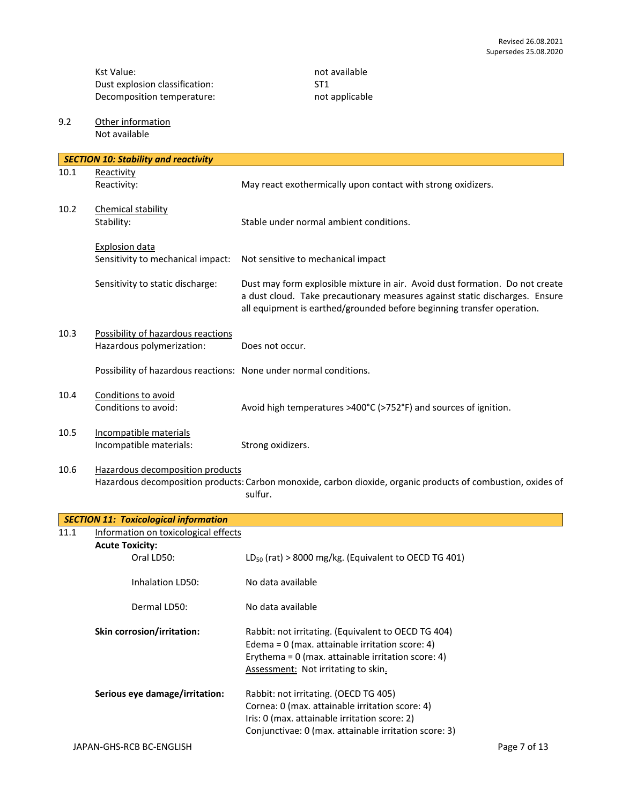Kst Value: not available<br>
Dust explosion classification: ST1 Dust explosion classification: Decomposition temperature: not applicable

9.2 Other information Not available

| <b>SECTION 10: Stability and reactivity</b> |                                                                   |                                                                                                                                                                                                                                       |  |  |
|---------------------------------------------|-------------------------------------------------------------------|---------------------------------------------------------------------------------------------------------------------------------------------------------------------------------------------------------------------------------------|--|--|
| 10.1                                        | Reactivity<br>Reactivity:                                         | May react exothermically upon contact with strong oxidizers.                                                                                                                                                                          |  |  |
| 10.2                                        | Chemical stability<br>Stability:                                  | Stable under normal ambient conditions.                                                                                                                                                                                               |  |  |
|                                             | <b>Explosion data</b><br>Sensitivity to mechanical impact:        | Not sensitive to mechanical impact                                                                                                                                                                                                    |  |  |
|                                             |                                                                   |                                                                                                                                                                                                                                       |  |  |
|                                             | Sensitivity to static discharge:                                  | Dust may form explosible mixture in air. Avoid dust formation. Do not create<br>a dust cloud. Take precautionary measures against static discharges. Ensure<br>all equipment is earthed/grounded before beginning transfer operation. |  |  |
| 10.3                                        | Possibility of hazardous reactions<br>Hazardous polymerization:   | Does not occur.                                                                                                                                                                                                                       |  |  |
|                                             | Possibility of hazardous reactions: None under normal conditions. |                                                                                                                                                                                                                                       |  |  |
| 10.4                                        | Conditions to avoid<br>Conditions to avoid:                       | Avoid high temperatures >400°C (>752°F) and sources of ignition.                                                                                                                                                                      |  |  |
| 10.5                                        | Incompatible materials<br>Incompatible materials:                 | Strong oxidizers.                                                                                                                                                                                                                     |  |  |
| 10.6                                        | Hazardous decomposition products                                  | Hazardous decomposition products: Carbon monoxide, carbon dioxide, organic products of combustion, oxides of<br>sulfur.                                                                                                               |  |  |
|                                             | <b>SECTION 11: Toxicological information</b>                      |                                                                                                                                                                                                                                       |  |  |

| 11.1 | Information on toxicological effects |                                                           |              |
|------|--------------------------------------|-----------------------------------------------------------|--------------|
|      | <b>Acute Toxicity:</b>               |                                                           |              |
|      | Oral LD50:                           | $LD_{50}$ (rat) > 8000 mg/kg. (Equivalent to OECD TG 401) |              |
|      | Inhalation LD50:                     | No data available                                         |              |
|      | Dermal LD50:                         | No data available                                         |              |
|      | Skin corrosion/irritation:           | Rabbit: not irritating. (Equivalent to OECD TG 404)       |              |
|      |                                      | Edema = $0$ (max. attainable irritation score: 4)         |              |
|      |                                      | Erythema = $0$ (max. attainable irritation score: 4)      |              |
|      |                                      | Assessment: Not irritating to skin.                       |              |
|      | Serious eye damage/irritation:       | Rabbit: not irritating. (OECD TG 405)                     |              |
|      |                                      | Cornea: 0 (max. attainable irritation score: 4)           |              |
|      |                                      | Iris: 0 (max. attainable irritation score: 2)             |              |
|      |                                      | Conjunctivae: 0 (max. attainable irritation score: 3)     |              |
|      | JAPAN-GHS-RCB BC-ENGLISH             |                                                           | Page 7 of 13 |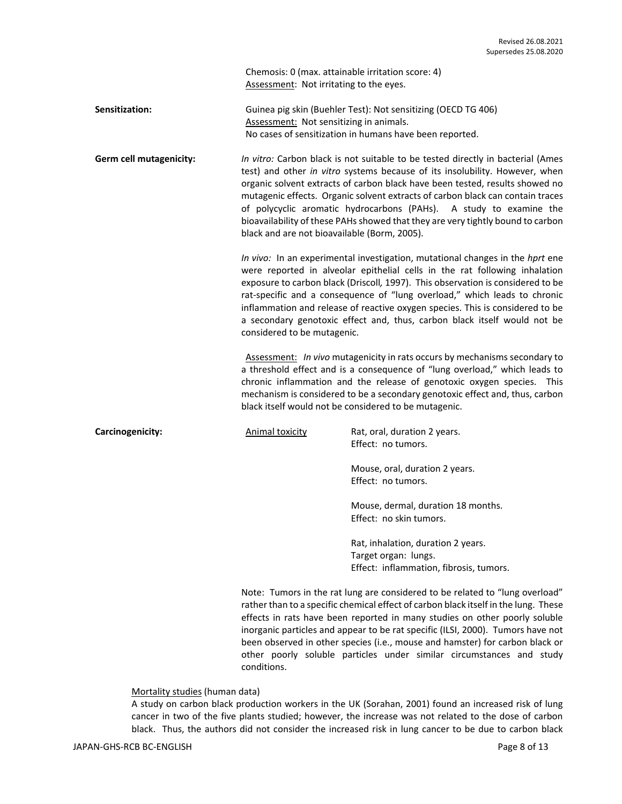Chemosis: 0 (max. attainable irritation score: 4) Assessment: Not irritating to the eyes.

**Sensitization:** Guinea pig skin (Buehler Test): Not sensitizing (OECD TG 406) Assessment: Not sensitizing in animals. No cases of sensitization in humans have been reported.

**Germ cell mutagenicity:** *In vitro:* Carbon black is not suitable to be tested directly in bacterial (Ames test) and other *in vitro* systems because of its insolubility. However, when organic solvent extracts of carbon black have been tested, results showed no mutagenic effects. Organic solvent extracts of carbon black can contain traces of polycyclic aromatic hydrocarbons (PAHs). A study to examine the bioavailability of these PAHs showed that they are very tightly bound to carbon black and are not bioavailable (Borm, 2005).

> *In vivo:* In an experimental investigation, mutational changes in the *hprt* ene were reported in alveolar epithelial cells in the rat following inhalation exposure to carbon black (Driscoll*,* 1997). This observation is considered to be rat-specific and a consequence of "lung overload," which leads to chronic inflammation and release of reactive oxygen species. This is considered to be a secondary genotoxic effect and, thus, carbon black itself would not be considered to be mutagenic.

> Assessment: *In vivo* mutagenicity in rats occurs by mechanisms secondary to a threshold effect and is a consequence of "lung overload," which leads to chronic inflammation and the release of genotoxic oxygen species. This mechanism is considered to be a secondary genotoxic effect and, thus, carbon black itself would not be considered to be mutagenic.

**Carcinogenicity: Carcinogenicity:** Animal toxicity **Rat, oral, duration 2 years.** Effect: no tumors. Mouse, oral, duration 2 years. Effect: no tumors. Mouse, dermal, duration 18 months. Effect: no skin tumors.

> Rat, inhalation, duration 2 years. Target organ: lungs. Effect: inflammation, fibrosis, tumors.

Note: Tumors in the rat lung are considered to be related to "lung overload" rather than to a specific chemical effect of carbon black itself in the lung. These effects in rats have been reported in many studies on other poorly soluble inorganic particles and appear to be rat specific (ILSI, 2000). Tumors have not been observed in other species (i.e., mouse and hamster) for carbon black or other poorly soluble particles under similar circumstances and study conditions.

# Mortality studies (human data)

A study on carbon black production workers in the UK (Sorahan, 2001) found an increased risk of lung cancer in two of the five plants studied; however, the increase was not related to the dose of carbon black. Thus, the authors did not consider the increased risk in lung cancer to be due to carbon black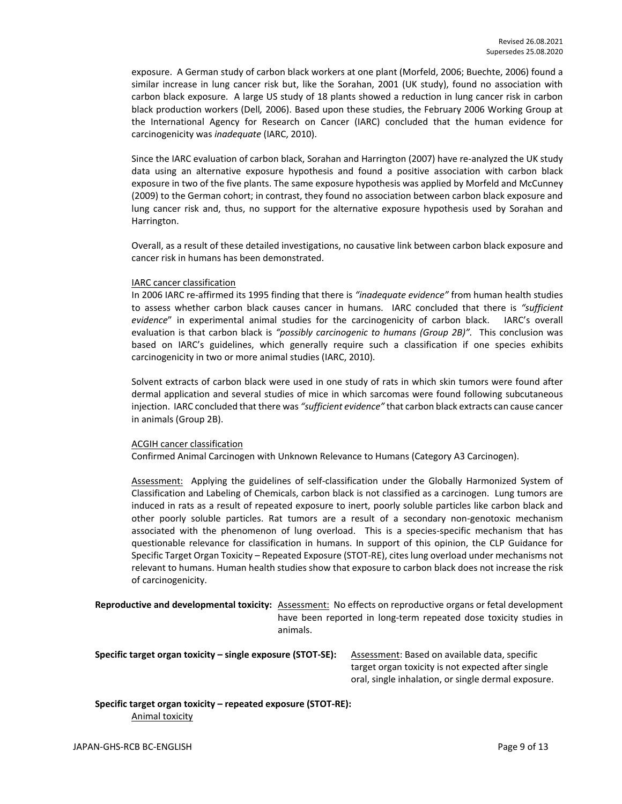exposure. A German study of carbon black workers at one plant (Morfeld, 2006; Buechte, 2006) found a similar increase in lung cancer risk but, like the Sorahan, 2001 (UK study), found no association with carbon black exposure. A large US study of 18 plants showed a reduction in lung cancer risk in carbon black production workers (Dell*,* 2006). Based upon these studies, the February 2006 Working Group at the International Agency for Research on Cancer (IARC) concluded that the human evidence for carcinogenicity was *inadequate* (IARC, 2010).

Since the IARC evaluation of carbon black, Sorahan and Harrington (2007) have re-analyzed the UK study data using an alternative exposure hypothesis and found a positive association with carbon black exposure in two of the five plants. The same exposure hypothesis was applied by Morfeld and McCunney (2009) to the German cohort; in contrast, they found no association between carbon black exposure and lung cancer risk and, thus, no support for the alternative exposure hypothesis used by Sorahan and Harrington.

Overall, as a result of these detailed investigations, no causative link between carbon black exposure and cancer risk in humans has been demonstrated.

#### IARC cancer classification

In 2006 IARC re-affirmed its 1995 finding that there is *"inadequate evidence"* from human health studies to assess whether carbon black causes cancer in humans. IARC concluded that there is *"sufficient evidence*" in experimental animal studies for the carcinogenicity of carbon black. IARC's overall evaluation is that carbon black is *"possibly carcinogenic to humans (Group 2B)".* This conclusion was based on IARC's guidelines, which generally require such a classification if one species exhibits carcinogenicity in two or more animal studies (IARC, 2010).

Solvent extracts of carbon black were used in one study of rats in which skin tumors were found after dermal application and several studies of mice in which sarcomas were found following subcutaneous injection. IARC concluded that there was *"sufficient evidence"* that carbon black extracts can cause cancer in animals (Group 2B).

#### ACGIH cancer classification

Confirmed Animal Carcinogen with Unknown Relevance to Humans (Category A3 Carcinogen).

Assessment: Applying the guidelines of self-classification under the Globally Harmonized System of Classification and Labeling of Chemicals, carbon black is not classified as a carcinogen. Lung tumors are induced in rats as a result of repeated exposure to inert, poorly soluble particles like carbon black and other poorly soluble particles. Rat tumors are a result of a secondary non-genotoxic mechanism associated with the phenomenon of lung overload. This is a species-specific mechanism that has questionable relevance for classification in humans. In support of this opinion, the CLP Guidance for Specific Target Organ Toxicity – Repeated Exposure (STOT-RE), cites lung overload under mechanisms not relevant to humans. Human health studies show that exposure to carbon black does not increase the risk of carcinogenicity.

**Reproductive and developmental toxicity:** Assessment: No effects on reproductive organs or fetal development have been reported in long-term repeated dose toxicity studies in animals.

**Specific target organ toxicity – single exposure (STOT-SE):** Assessment: Based on available data, specific

target organ toxicity is not expected after single oral, single inhalation, or single dermal exposure.

**Specific target organ toxicity – repeated exposure (STOT-RE):**  Animal toxicity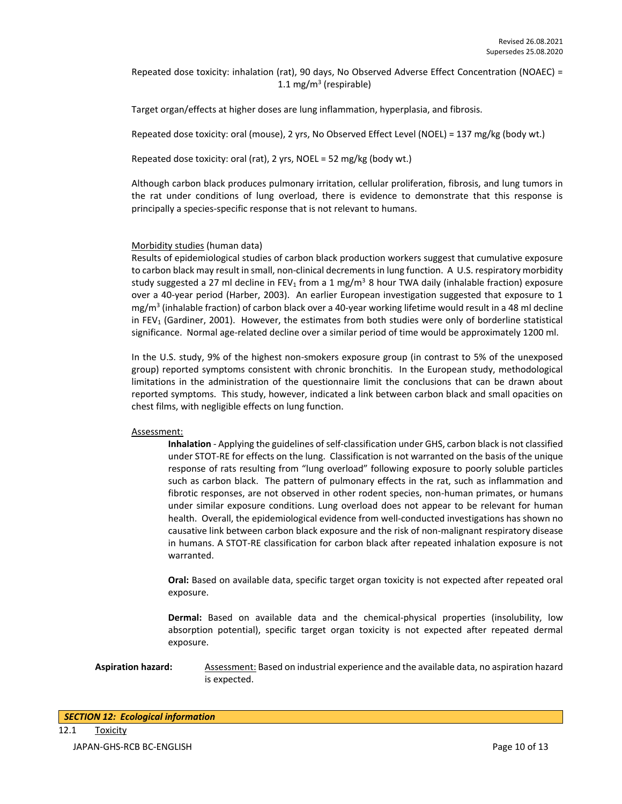Repeated dose toxicity: inhalation (rat), 90 days, No Observed Adverse Effect Concentration (NOAEC) = 1.1 mg/m<sup>3</sup> (respirable)

Target organ/effects at higher doses are lung inflammation, hyperplasia, and fibrosis.

Repeated dose toxicity: oral (mouse), 2 yrs, No Observed Effect Level (NOEL) = 137 mg/kg (body wt.)

Repeated dose toxicity: oral (rat), 2 yrs, NOEL = 52 mg/kg (body wt.)

Although carbon black produces pulmonary irritation, cellular proliferation, fibrosis, and lung tumors in the rat under conditions of lung overload, there is evidence to demonstrate that this response is principally a species-specific response that is not relevant to humans.

# Morbidity studies (human data)

Results of epidemiological studies of carbon black production workers suggest that cumulative exposure to carbon black may result in small, non-clinical decrements in lung function. A U.S. respiratory morbidity study suggested a 27 ml decline in FEV<sub>1</sub> from a 1 mg/m<sup>3</sup> 8 hour TWA daily (inhalable fraction) exposure over a 40-year period (Harber, 2003). An earlier European investigation suggested that exposure to 1 mg/m<sup>3</sup> (inhalable fraction) of carbon black over a 40-year working lifetime would result in a 48 ml decline in FEV<sub>1</sub> (Gardiner, 2001). However, the estimates from both studies were only of borderline statistical significance. Normal age-related decline over a similar period of time would be approximately 1200 ml.

In the U.S. study, 9% of the highest non-smokers exposure group (in contrast to 5% of the unexposed group) reported symptoms consistent with chronic bronchitis. In the European study, methodological limitations in the administration of the questionnaire limit the conclusions that can be drawn about reported symptoms. This study, however, indicated a link between carbon black and small opacities on chest films, with negligible effects on lung function.

#### Assessment:

**Inhalation** - Applying the guidelines of self-classification under GHS, carbon black is not classified under STOT-RE for effects on the lung. Classification is not warranted on the basis of the unique response of rats resulting from "lung overload" following exposure to poorly soluble particles such as carbon black. The pattern of pulmonary effects in the rat, such as inflammation and fibrotic responses, are not observed in other rodent species, non-human primates, or humans under similar exposure conditions. Lung overload does not appear to be relevant for human health. Overall, the epidemiological evidence from well-conducted investigations has shown no causative link between carbon black exposure and the risk of non-malignant respiratory disease in humans. A STOT-RE classification for carbon black after repeated inhalation exposure is not warranted.

**Oral:** Based on available data, specific target organ toxicity is not expected after repeated oral exposure.

**Dermal:** Based on available data and the chemical-physical properties (insolubility, low absorption potential), specific target organ toxicity is not expected after repeated dermal exposure.

**Aspiration hazard:** Assessment: Based on industrial experience and the available data, no aspiration hazard is expected.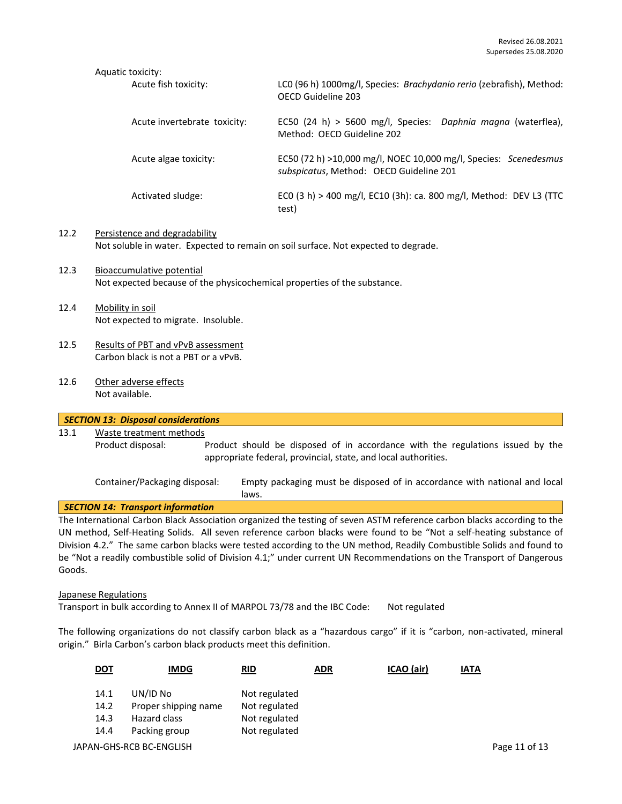#### Aquatic toxicity:

| Acute fish toxicity:         | LCO (96 h) 1000mg/l, Species: Brachydanio rerio (zebrafish), Method:<br>OECD Guideline 203                  |
|------------------------------|-------------------------------------------------------------------------------------------------------------|
| Acute invertebrate toxicity: | EC50 (24 h) > 5600 mg/l, Species: Daphnia magna (waterflea),<br>Method: OECD Guideline 202                  |
| Acute algae toxicity:        | EC50 (72 h) >10,000 mg/l, NOEC 10,000 mg/l, Species: Scenedesmus<br>subspicatus, Method: OECD Guideline 201 |
| Activated sludge:            | ECO (3 h) > 400 mg/l, EC10 (3h): ca. 800 mg/l, Method: DEV L3 (TTC<br>test)                                 |

# 12.2 Persistence and degradability Not soluble in water. Expected to remain on soil surface. Not expected to degrade.

- 12.3 Bioaccumulative potential Not expected because of the physicochemical properties of the substance.
- 12.4 Mobility in soil Not expected to migrate. Insoluble.
- 12.5 Results of PBT and vPvB assessment Carbon black is not a PBT or a vPvB.
- 12.6 Other adverse effects Not available.

# *SECTION 13: Disposal considerations* 13.1 Waste treatment methods Product disposal: Product should be disposed of in accordance with the regulations issued by the appropriate federal, provincial, state, and local authorities. Container/Packaging disposal: Empty packaging must be disposed of in accordance with national and local laws. *SECTION 14: Transport information* The International Carbon Black Association organized the testing of seven ASTM reference carbon blacks according to the UN method, Self-Heating Solids. All seven reference carbon blacks were found to be "Not a self-heating substance of

Division 4.2." The same carbon blacks were tested according to the UN method, Readily Combustible Solids and found to be "Not a readily combustible solid of Division 4.1;" under current UN Recommendations on the Transport of Dangerous Goods.

#### Japanese Regulations

Transport in bulk according to Annex II of MARPOL 73/78 and the IBC Code: Not regulated

The following organizations do not classify carbon black as a "hazardous cargo" if it is "carbon, non-activated, mineral origin." Birla Carbon's carbon black products meet this definition.

| <u>DOT</u> | <b>IMDG</b>              | RID           | <b>ADR</b> | ICAO (air) | <b>IATA</b> |               |
|------------|--------------------------|---------------|------------|------------|-------------|---------------|
| 14.1       | UN/ID No                 | Not regulated |            |            |             |               |
| 14.2       | Proper shipping name     | Not regulated |            |            |             |               |
| 14.3       | Hazard class             | Not regulated |            |            |             |               |
| 14.4       | Packing group            | Not regulated |            |            |             |               |
|            | JAPAN-GHS-RCB BC-ENGLISH |               |            |            |             | Page 11 of 13 |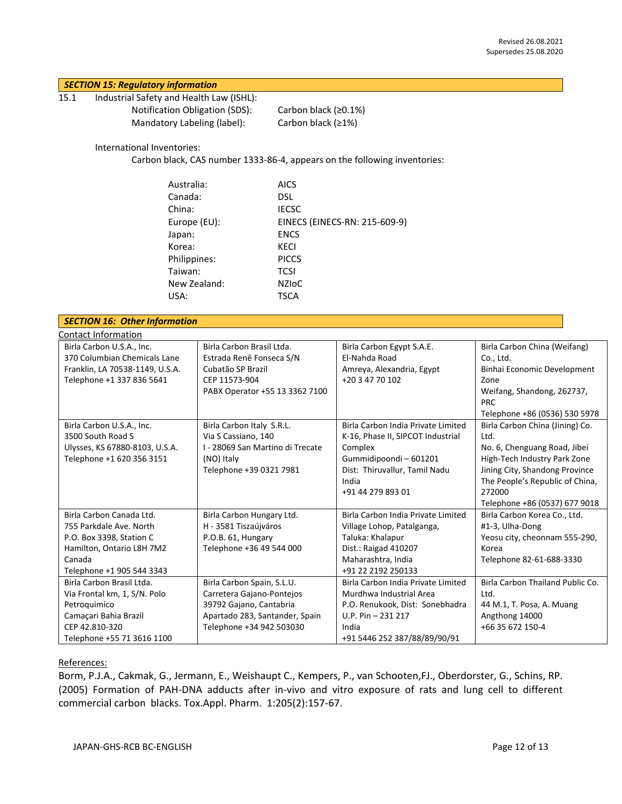# *SECTION 15: Regulatory information*

15.1 Industrial Safety and Health Law (ISHL): Notification Obligation (SDS): Carbon black (≥0.1%) Mandatory Labeling (label): Carbon black (≥1%)

International Inventories:

Carbon black, CAS number 1333-86-4, appears on the following inventories:

| Australia:   | <b>AICS</b>                   |
|--------------|-------------------------------|
| Canada:      | DSL.                          |
| China:       | <b>IECSC</b>                  |
| Europe (EU): | EINECS (EINECS-RN: 215-609-9) |
| Japan:       | <b>ENCS</b>                   |
| Korea:       | KECI                          |
| Philippines: | <b>PICCS</b>                  |
| Taiwan:      | <b>TCSI</b>                   |
| New Zealand: | <b>NZIOC</b>                  |
| USA:         | TSCA                          |
|              |                               |

| <b>SECTION 16: Other Information</b> |                                  |                                    |                                  |  |  |
|--------------------------------------|----------------------------------|------------------------------------|----------------------------------|--|--|
| Contact Information                  |                                  |                                    |                                  |  |  |
| Birla Carbon U.S.A., Inc.            | Birla Carbon Brasil Ltda.        | Birla Carbon Egypt S.A.E.          | Birla Carbon China (Weifang)     |  |  |
| 370 Columbian Chemicals Lane         | Estrada Renê Fonseca S/N         | El-Nahda Road                      | Co., Ltd.                        |  |  |
| Franklin, LA 70538-1149, U.S.A.      | Cubatão SP Brazil                | Amreya, Alexandria, Egypt          | Binhai Economic Development      |  |  |
| Telephone +1 337 836 5641            | CEP 11573-904                    | +20 3 47 70 102                    | Zone                             |  |  |
|                                      | PABX Operator +55 13 3362 7100   |                                    | Weifang, Shandong, 262737,       |  |  |
|                                      |                                  |                                    | <b>PRC</b>                       |  |  |
|                                      |                                  |                                    | Telephone +86 (0536) 530 5978    |  |  |
| Birla Carbon U.S.A., Inc.            | Birla Carbon Italy S.R.L.        | Birla Carbon India Private Limited | Birla Carbon China (Jining) Co.  |  |  |
| 3500 South Road S                    | Via S Cassiano, 140              | K-16, Phase II, SIPCOT Industrial  | Ltd.                             |  |  |
| Ulysses, KS 67880-8103, U.S.A.       | I - 28069 San Martino di Trecate | Complex                            | No. 6, Chenguang Road, Jibei     |  |  |
| Telephone +1 620 356 3151            | (NO) Italy                       | Gummidipoondi - 601201             | High-Tech Industry Park Zone     |  |  |
|                                      | Telephone +39 0321 7981          | Dist: Thiruvallur, Tamil Nadu      | Jining City, Shandong Province   |  |  |
|                                      |                                  | India                              | The People's Republic of China,  |  |  |
|                                      |                                  | +91 44 279 893 01                  | 272000                           |  |  |
|                                      |                                  |                                    | Telephone +86 (0537) 677 9018    |  |  |
| Birla Carbon Canada Ltd.             | Birla Carbon Hungary Ltd.        | Birla Carbon India Private Limited | Birla Carbon Korea Co., Ltd.     |  |  |
| 755 Parkdale Ave. North              | H - 3581 Tiszaújváros            | Village Lohop, Patalganga,         | #1-3, Ulha-Dong                  |  |  |
| P.O. Box 3398, Station C             | P.O.B. 61, Hungary               | Taluka: Khalapur                   | Yeosu city, cheonnam 555-290,    |  |  |
| Hamilton, Ontario L8H 7M2            | Telephone +36 49 544 000         | Dist.: Raigad 410207               | Korea                            |  |  |
| Canada                               |                                  | Maharashtra, India                 | Telephone 82-61-688-3330         |  |  |
| Telephone +1 905 544 3343            |                                  | +91 22 2192 250133                 |                                  |  |  |
| Birla Carbon Brasil Ltda.            | Birla Carbon Spain, S.L.U.       | Birla Carbon India Private Limited | Birla Carbon Thailand Public Co. |  |  |
| Via Frontal km, 1, S/N. Polo         | Carretera Gajano-Pontejos        | Murdhwa Industrial Area            | Ltd.                             |  |  |
| Petroquimico                         | 39792 Gajano, Cantabria          | P.O. Renukook, Dist: Sonebhadra    | 44 M.1, T. Posa, A. Muang        |  |  |
| Camaçari Bahia Brazil                | Apartado 283, Santander, Spain   | $U.P. Pin - 231217$                | Angthong 14000                   |  |  |
| CEP 42.810-320                       | Telephone +34 942 503030         | India                              | +66 35 672 150-4                 |  |  |
| Telephone +55 71 3616 1100           |                                  | +91 5446 252 387/88/89/90/91       |                                  |  |  |

# References:

Borm, P.J.A., Cakmak, G., Jermann, E., Weishaupt C., Kempers, P., van Schooten,FJ., Oberdorster, G., Schins, RP. (2005) Formation of PAH-DNA adducts after in-vivo and vitro exposure of rats and lung cell to different commercial carbon blacks. Tox.Appl. Pharm. 1:205(2):157-67.